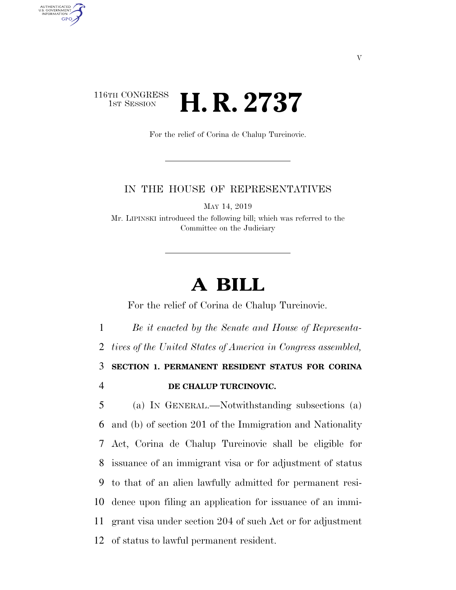## 116TH CONGRESS<br>1st Session **H. R. 2737**

AUTHENTICATED U.S. GOVERNMENT GPO

For the relief of Corina de Chalup Turcinovic.

## IN THE HOUSE OF REPRESENTATIVES

MAY 14, 2019

Mr. LIPINSKI introduced the following bill; which was referred to the Committee on the Judiciary

## **A BILL**

For the relief of Corina de Chalup Turcinovic.

 *Be it enacted by the Senate and House of Representa- tives of the United States of America in Congress assembled,*  **SECTION 1. PERMANENT RESIDENT STATUS FOR CORINA DE CHALUP TURCINOVIC.**  (a) IN GENERAL.—Notwithstanding subsections (a) and (b) of section 201 of the Immigration and Nationality Act, Corina de Chalup Turcinovic shall be eligible for issuance of an immigrant visa or for adjustment of status to that of an alien lawfully admitted for permanent resi- dence upon filing an application for issuance of an immi- grant visa under section 204 of such Act or for adjustment of status to lawful permanent resident.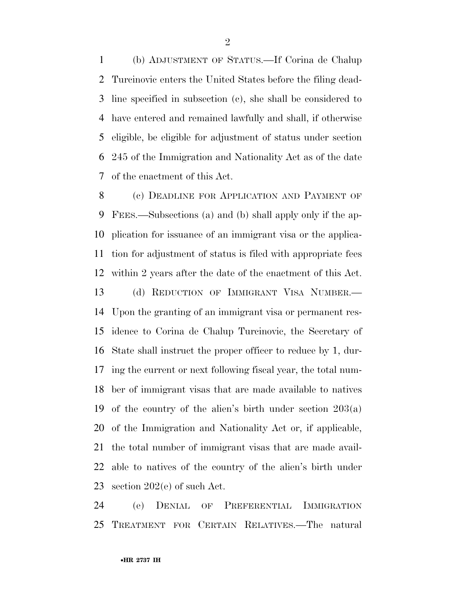(b) ADJUSTMENT OF STATUS.—If Corina de Chalup Turcinovic enters the United States before the filing dead- line specified in subsection (c), she shall be considered to have entered and remained lawfully and shall, if otherwise eligible, be eligible for adjustment of status under section 245 of the Immigration and Nationality Act as of the date of the enactment of this Act.

8 (c) DEADLINE FOR APPLICATION AND PAYMENT OF FEES.—Subsections (a) and (b) shall apply only if the ap- plication for issuance of an immigrant visa or the applica- tion for adjustment of status is filed with appropriate fees within 2 years after the date of the enactment of this Act. (d) REDUCTION OF IMMIGRANT VISA NUMBER.— Upon the granting of an immigrant visa or permanent res- idence to Corina de Chalup Turcinovic, the Secretary of State shall instruct the proper officer to reduce by 1, dur- ing the current or next following fiscal year, the total num- ber of immigrant visas that are made available to natives of the country of the alien's birth under section 203(a) of the Immigration and Nationality Act or, if applicable, the total number of immigrant visas that are made avail- able to natives of the country of the alien's birth under section 202(e) of such Act.

 (e) DENIAL OF PREFERENTIAL IMMIGRATION TREATMENT FOR CERTAIN RELATIVES.—The natural